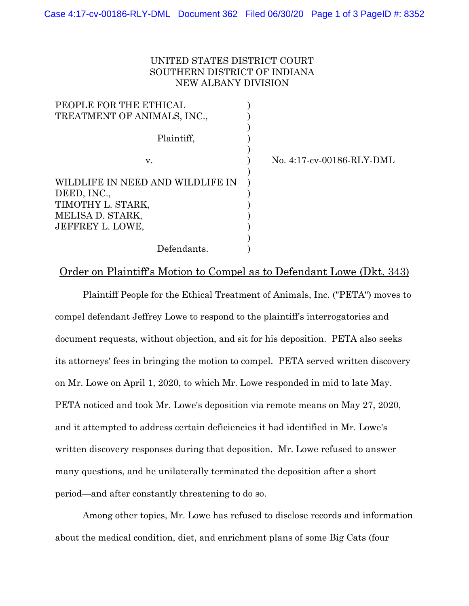## UNITED STATES DISTRICT COURT SOUTHERN DISTRICT OF INDIANA NEW ALBANY DIVISION

| PEOPLE FOR THE ETHICAL                                                                                       |  |
|--------------------------------------------------------------------------------------------------------------|--|
| TREATMENT OF ANIMALS, INC.,                                                                                  |  |
|                                                                                                              |  |
| Plaintiff,                                                                                                   |  |
|                                                                                                              |  |
| v.                                                                                                           |  |
| WILDLIFE IN NEED AND WILDLIFE IN<br>DEED, INC.,<br>TIMOTHY L. STARK,<br>MELISA D. STARK,<br>JEFFREY L. LOWE, |  |
| Defendants.                                                                                                  |  |

No. 4:17-cv-00186-RLY-DML

## Order on Plaintiff's Motion to Compel as to Defendant Lowe (Dkt. 343)

Plaintiff People for the Ethical Treatment of Animals, Inc. ("PETA") moves to compel defendant Jeffrey Lowe to respond to the plaintiff's interrogatories and document requests, without objection, and sit for his deposition. PETA also seeks its attorneys' fees in bringing the motion to compel. PETA served written discovery on Mr. Lowe on April 1, 2020, to which Mr. Lowe responded in mid to late May. PETA noticed and took Mr. Lowe's deposition via remote means on May 27, 2020, and it attempted to address certain deficiencies it had identified in Mr. Lowe's written discovery responses during that deposition. Mr. Lowe refused to answer many questions, and he unilaterally terminated the deposition after a short period—and after constantly threatening to do so.

Among other topics, Mr. Lowe has refused to disclose records and information about the medical condition, diet, and enrichment plans of some Big Cats (four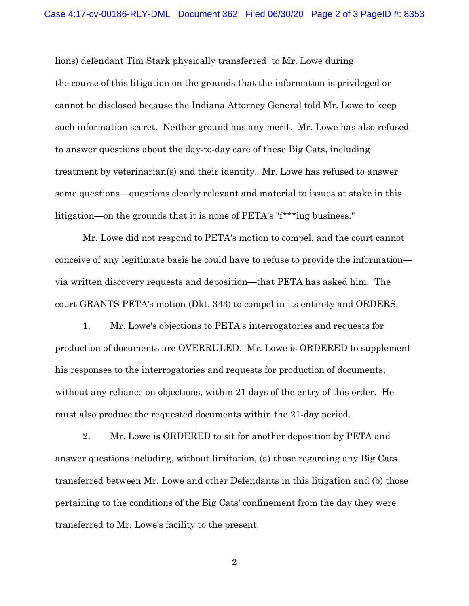lions) defendant Tim Stark physically transferred to Mr. Lowe during the course of this litigation on the grounds that the information is privileged or cannot be disclosed because the Indiana Attorney General told Mr. Lowe to keep such information secret. Neither ground has any merit. Mr. Lowe has also refused to answer questions about the day-to-day care of these Big Cats, including treatment by veterinarian(s) and their identity. Mr. Lowe has refused to answer some questions—questions clearly relevant and material to issues at stake in this litigation—on the grounds that it is none of PETA's "f\*\*\*ing business."

Mr. Lowe did not respond to PETA's motion to compel, and the court cannot conceive of any legitimate basis he could have to refuse to provide the information via written discovery requests and deposition—that PETA has asked him. The court GRANTS PETA's motion (Dkt. 343) to compel in its entirety and ORDERS:

1. Mr. Lowe's objections to PETA's interrogatories and requests for production of documents are OVERRULED. Mr. Lowe is ORDERED to supplement his responses to the interrogatories and requests for production of documents, without any reliance on objections, within 21 days of the entry of this order. He must also produce the requested documents within the 21-day period.

2. Mr. Lowe is ORDERED to sit for another deposition by PETA and answer questions including, without limitation, (a) those regarding any Big Cats transferred between Mr. Lowe and other Defendants in this litigation and (b) those pertaining to the conditions of the Big Cats' confinement from the day they were transferred to Mr. Lowe's facility to the present.

2